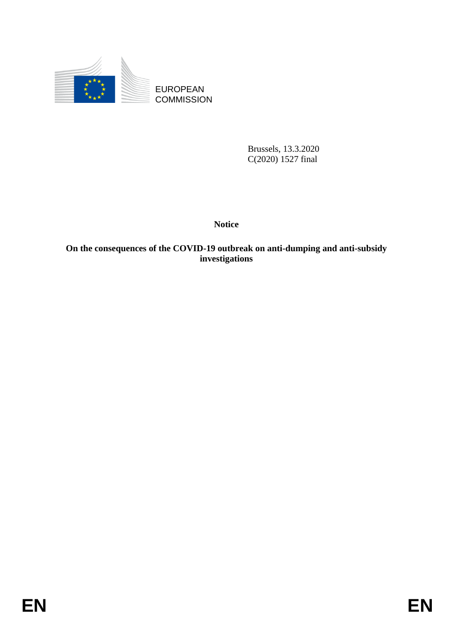

EUROPEAN COMMISSION

> Brussels, 13.3.2020 C(2020) 1527 final

**Notice**

## **On the consequences of the COVID-19 outbreak on anti-dumping and anti-subsidy investigations**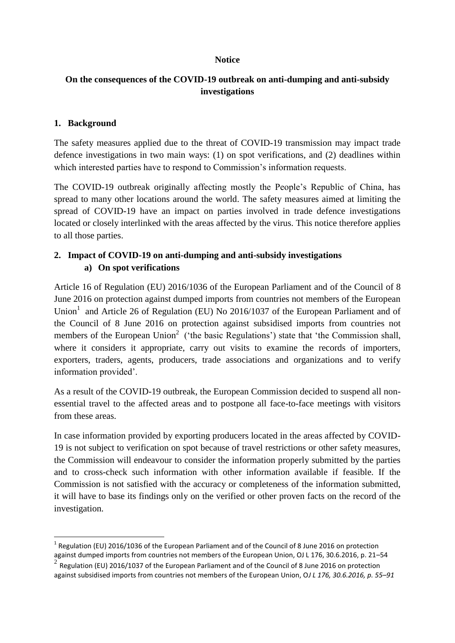#### **Notice**

### **On the consequences of the COVID-19 outbreak on anti-dumping and anti-subsidy investigations**

### **1. Background**

1

The safety measures applied due to the threat of COVID-19 transmission may impact trade defence investigations in two main ways: (1) on spot verifications, and (2) deadlines within which interested parties have to respond to Commission's information requests.

The COVID-19 outbreak originally affecting mostly the People's Republic of China, has spread to many other locations around the world. The safety measures aimed at limiting the spread of COVID-19 have an impact on parties involved in trade defence investigations located or closely interlinked with the areas affected by the virus. This notice therefore applies to all those parties.

# **2. Impact of COVID-19 on anti-dumping and anti-subsidy investigations a) On spot verifications**

Article 16 of Regulation (EU) 2016/1036 of the European Parliament and of the Council of 8 June 2016 on protection against dumped imports from countries not members of the European Union<sup>1</sup> and Article 26 of Regulation (EU) No 2016/1037 of the European Parliament and of the Council of 8 June 2016 on protection against subsidised imports from countries not members of the European Union<sup>2</sup> ('the basic Regulations') state that 'the Commission shall, where it considers it appropriate, carry out visits to examine the records of importers, exporters, traders, agents, producers, trade associations and organizations and to verify information provided'.

As a result of the COVID-19 outbreak, the European Commission decided to suspend all nonessential travel to the affected areas and to postpone all face-to-face meetings with visitors from these areas.

In case information provided by exporting producers located in the areas affected by COVID-19 is not subject to verification on spot because of travel restrictions or other safety measures, the Commission will endeavour to consider the information properly submitted by the parties and to cross-check such information with other information available if feasible. If the Commission is not satisfied with the accuracy or completeness of the information submitted, it will have to base its findings only on the verified or other proven facts on the record of the investigation.

<sup>&</sup>lt;sup>1</sup> Regulation (EU) 2016/1036 of the European Parliament and of the Council of 8 June 2016 on protection against dumped imports from countries not members of the European Union, OJ L 176, 30.6.2016, p. 21–54

 $2^{2}$  Regulation (EU) 2016/1037 of the European Parliament and of the Council of 8 June 2016 on protection against subsidised imports from countries not members of the European Union, O*J L 176, 30.6.2016, p. 55–91*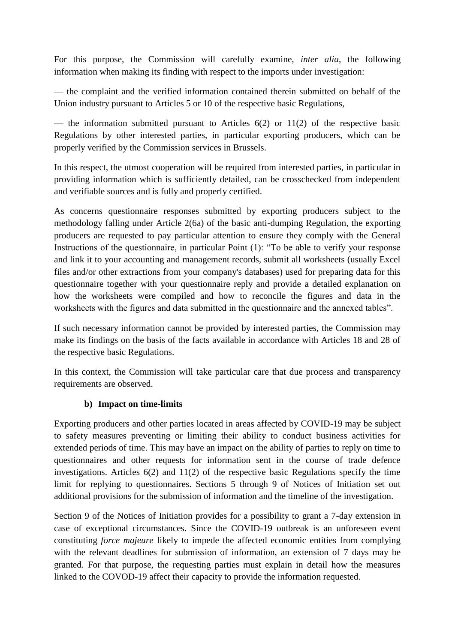For this purpose, the Commission will carefully examine, *inter alia*, the following information when making its finding with respect to the imports under investigation:

— the complaint and the verified information contained therein submitted on behalf of the Union industry pursuant to Articles 5 or 10 of the respective basic Regulations,

— the information submitted pursuant to Articles  $6(2)$  or  $11(2)$  of the respective basic Regulations by other interested parties, in particular exporting producers, which can be properly verified by the Commission services in Brussels.

In this respect, the utmost cooperation will be required from interested parties, in particular in providing information which is sufficiently detailed, can be crosschecked from independent and verifiable sources and is fully and properly certified.

As concerns questionnaire responses submitted by exporting producers subject to the methodology falling under Article 2(6a) of the basic anti-dumping Regulation, the exporting producers are requested to pay particular attention to ensure they comply with the General Instructions of the questionnaire, in particular Point (1): "To be able to verify your response and link it to your accounting and management records, submit all worksheets (usually Excel files and/or other extractions from your company's databases) used for preparing data for this questionnaire together with your questionnaire reply and provide a detailed explanation on how the worksheets were compiled and how to reconcile the figures and data in the worksheets with the figures and data submitted in the questionnaire and the annexed tables".

If such necessary information cannot be provided by interested parties, the Commission may make its findings on the basis of the facts available in accordance with Articles 18 and 28 of the respective basic Regulations.

In this context, the Commission will take particular care that due process and transparency requirements are observed.

### **b) Impact on time-limits**

Exporting producers and other parties located in areas affected by COVID-19 may be subject to safety measures preventing or limiting their ability to conduct business activities for extended periods of time. This may have an impact on the ability of parties to reply on time to questionnaires and other requests for information sent in the course of trade defence investigations. Articles 6(2) and 11(2) of the respective basic Regulations specify the time limit for replying to questionnaires. Sections 5 through 9 of Notices of Initiation set out additional provisions for the submission of information and the timeline of the investigation.

Section 9 of the Notices of Initiation provides for a possibility to grant a 7-day extension in case of exceptional circumstances. Since the COVID-19 outbreak is an unforeseen event constituting *force majeure* likely to impede the affected economic entities from complying with the relevant deadlines for submission of information, an extension of 7 days may be granted. For that purpose, the requesting parties must explain in detail how the measures linked to the COVOD-19 affect their capacity to provide the information requested.